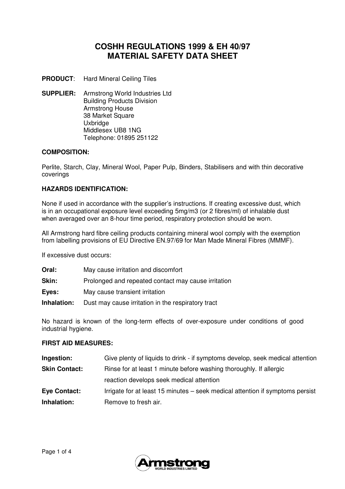# **COSHH REGULATIONS 1999 & EH 40/97 MATERIAL SAFETY DATA SHEET**

**PRODUCT**: Hard Mineral Ceiling Tiles

**SUPPLIER:** Armstrong World Industries Ltd Building Products Division Armstrong House 38 Market Square Uxbridge Middlesex UB8 1NG Telephone: 01895 251122

## **COMPOSITION:**

Perlite, Starch, Clay, Mineral Wool, Paper Pulp, Binders, Stabilisers and with thin decorative coverings

## **HAZARDS IDENTIFICATION:**

None if used in accordance with the supplier's instructions. If creating excessive dust, which is in an occupational exposure level exceeding 5mg/m3 (or 2 fibres/ml) of inhalable dust when averaged over an 8-hour time period, respiratory protection should be worn.

All Armstrong hard fibre ceiling products containing mineral wool comply with the exemption from labelling provisions of EU Directive EN.97/69 for Man Made Mineral Fibres (MMMF).

If excessive dust occurs:

| Oral:       | May cause irritation and discomfort                 |
|-------------|-----------------------------------------------------|
| Skin:       | Prolonged and repeated contact may cause irritation |
| Eyes:       | May cause transient irritation                      |
| Inhalation: | Dust may cause irritation in the respiratory tract  |

No hazard is known of the long-term effects of over-exposure under conditions of good industrial hygiene.

#### **FIRST AID MEASURES:**

| Ingestion:           | Give plenty of liquids to drink - if symptoms develop, seek medical attention |  |
|----------------------|-------------------------------------------------------------------------------|--|
| <b>Skin Contact:</b> | Rinse for at least 1 minute before washing thoroughly. If allergic            |  |
|                      | reaction develops seek medical attention                                      |  |
| <b>Eye Contact:</b>  | Irrigate for at least 15 minutes – seek medical attention if symptoms persist |  |
| Inhalation:          | Remove to fresh air.                                                          |  |

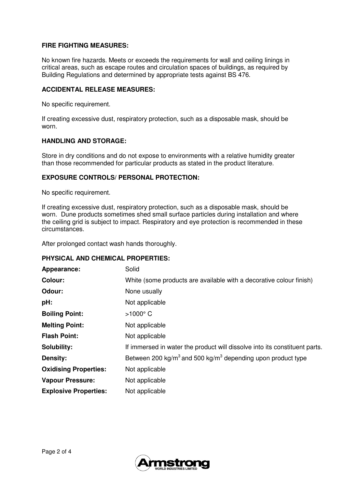## **FIRE FIGHTING MEASURES:**

No known fire hazards. Meets or exceeds the requirements for wall and ceiling linings in critical areas, such as escape routes and circulation spaces of buildings, as required by Building Regulations and determined by appropriate tests against BS 476.

#### **ACCIDENTAL RELEASE MEASURES:**

No specific requirement.

If creating excessive dust, respiratory protection, such as a disposable mask, should be worn.

#### **HANDLING AND STORAGE:**

Store in dry conditions and do not expose to environments with a relative humidity greater than those recommended for particular products as stated in the product literature.

#### **EXPOSURE CONTROLS/ PERSONAL PROTECTION:**

No specific requirement.

If creating excessive dust, respiratory protection, such as a disposable mask, should be worn. Dune products sometimes shed small surface particles during installation and where the ceiling grid is subject to impact. Respiratory and eye protection is recommended in these circumstances.

After prolonged contact wash hands thoroughly.

#### **PHYSICAL AND CHEMICAL PROPERTIES:**

| Appearance:                  | Solid                                                                               |
|------------------------------|-------------------------------------------------------------------------------------|
| <b>Colour:</b>               | White (some products are available with a decorative colour finish)                 |
| Odour:                       | None usually                                                                        |
| pH:                          | Not applicable                                                                      |
| <b>Boiling Point:</b>        | $>1000^\circ$ C                                                                     |
| <b>Melting Point:</b>        | Not applicable                                                                      |
| <b>Flash Point:</b>          | Not applicable                                                                      |
| <b>Solubility:</b>           | If immersed in water the product will dissolve into its constituent parts.          |
| Density:                     | Between 200 kg/m <sup>3</sup> and 500 kg/m <sup>3</sup> depending upon product type |
| <b>Oxidising Properties:</b> | Not applicable                                                                      |
| <b>Vapour Pressure:</b>      | Not applicable                                                                      |
| <b>Explosive Properties:</b> | Not applicable                                                                      |

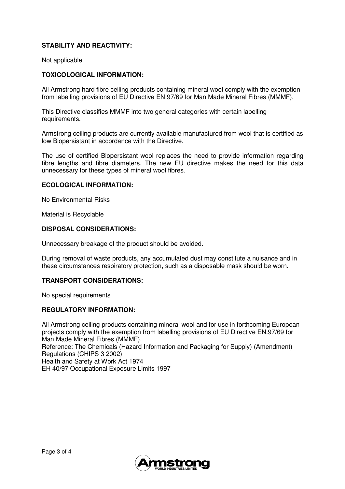# **STABILITY AND REACTIVITY:**

Not applicable

## **TOXICOLOGICAL INFORMATION:**

All Armstrong hard fibre ceiling products containing mineral wool comply with the exemption from labelling provisions of EU Directive EN.97/69 for Man Made Mineral Fibres (MMMF).

This Directive classifies MMMF into two general categories with certain labelling requirements.

Armstrong ceiling products are currently available manufactured from wool that is certified as low Biopersistant in accordance with the Directive.

The use of certified Biopersistant wool replaces the need to provide information regarding fibre lengths and fibre diameters. The new EU directive makes the need for this data unnecessary for these types of mineral wool fibres.

#### **ECOLOGICAL INFORMATION:**

No Environmental Risks

Material is Recyclable

#### **DISPOSAL CONSIDERATIONS:**

Unnecessary breakage of the product should be avoided.

During removal of waste products, any accumulated dust may constitute a nuisance and in these circumstances respiratory protection, such as a disposable mask should be worn.

#### **TRANSPORT CONSIDERATIONS:**

No special requirements

#### **REGULATORY INFORMATION:**

All Armstrong ceiling products containing mineral wool and for use in forthcoming European projects comply with the exemption from labelling provisions of EU Directive EN.97/69 for Man Made Mineral Fibres (MMMF). Reference: The Chemicals (Hazard Information and Packaging for Supply) (Amendment) Regulations (CHIPS 3 2002) Health and Safety at Work Act 1974 EH 40/97 Occupational Exposure Limits 1997